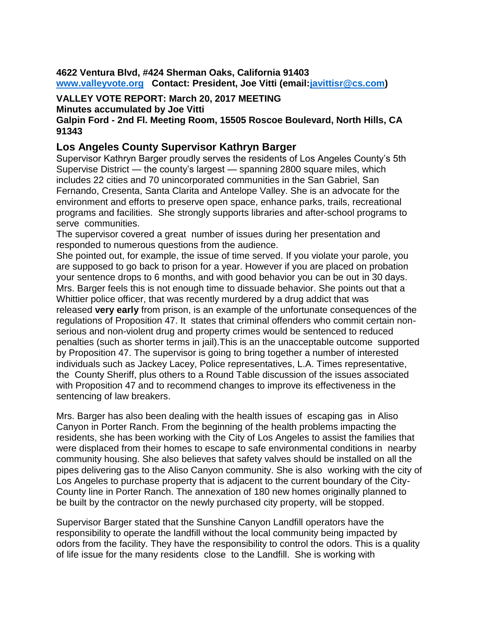**4622 Ventura Blvd, #424 Sherman Oaks, California 91403 [www.valleyvote.org](http://www.valleyvote.org/) Contact: President, Joe Vitti (email[:javittisr@cs.com\)](mailto:javittisr@cs.com)**

**VALLEY VOTE REPORT: March 20, 2017 MEETING** 

**Minutes accumulated by Joe Vitti**

### **Galpin Ford - 2nd Fl. Meeting Room, 15505 Roscoe Boulevard, North Hills, CA 91343**

# **Los Angeles County Supervisor Kathryn Barger**

Supervisor Kathryn Barger proudly serves the residents of Los Angeles County's 5th Supervise District — the county's largest — spanning 2800 square miles, which includes 22 cities and 70 unincorporated communities in the San Gabriel, San Fernando, Cresenta, Santa Clarita and Antelope Valley. She is an advocate for the environment and efforts to preserve open space, enhance parks, trails, recreational programs and facilities. She strongly supports libraries and after-school programs to serve communities.

The supervisor covered a great number of issues during her presentation and responded to numerous questions from the audience.

She pointed out, for example, the issue of time served. If you violate your parole, you are supposed to go back to prison for a year. However if you are placed on probation your sentence drops to 6 months, and with good behavior you can be out in 30 days. Mrs. Barger feels this is not enough time to dissuade behavior. She points out that a Whittier police officer, that was recently murdered by a drug addict that was released **very early** from prison, is an example of the unfortunate consequences of the regulations of Proposition 47. It states that criminal offenders who commit certain nonserious and non-violent drug and property crimes would be sentenced to reduced penalties (such as shorter terms in jail).This is an the unacceptable outcome supported by Proposition 47. The supervisor is going to bring together a number of interested individuals such as Jackey Lacey, Police representatives, L.A. Times representative, the County Sheriff, plus others to a Round Table discussion of the issues associated with Proposition 47 and to recommend changes to improve its effectiveness in the sentencing of law breakers.

Mrs. Barger has also been dealing with the health issues of escaping gas in Aliso Canyon in Porter Ranch. From the beginning of the health problems impacting the residents, she has been working with the City of Los Angeles to assist the families that were displaced from their homes to escape to safe environmental conditions in nearby community housing. She also believes that safety valves should be installed on all the pipes delivering gas to the Aliso Canyon community. She is also working with the city of Los Angeles to purchase property that is adjacent to the current boundary of the City-County line in Porter Ranch. The annexation of 180 new homes originally planned to be built by the contractor on the newly purchased city property, will be stopped.

Supervisor Barger stated that the Sunshine Canyon Landfill operators have the responsibility to operate the landfill without the local community being impacted by odors from the facility. They have the responsibility to control the odors. This is a quality of life issue for the many residents close to the Landfill. She is working with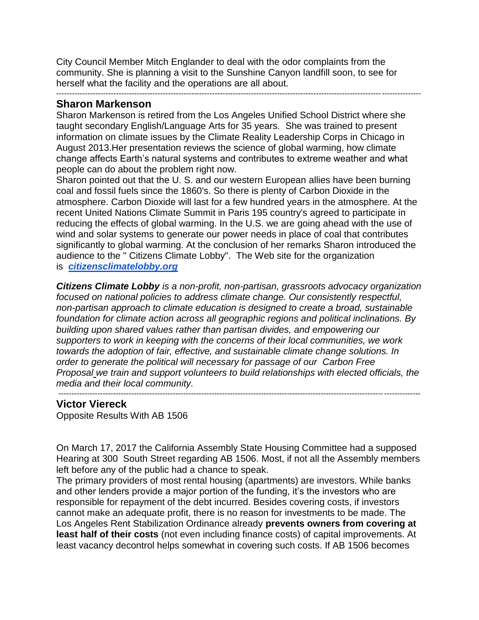City Council Member Mitch Englander to deal with the odor complaints from the community. She is planning a visit to the Sunshine Canyon landfill soon, to see for herself what the facility and the operations are all about.

--------------------------------------------------------------------------------------------------------------------------------------------

#### **Sharon Markenson**

Sharon Markenson is retired from the Los Angeles Unified School District where she taught secondary English/Language Arts for 35 years. She was trained to present information on climate issues by the Climate Reality Leadership Corps in Chicago in August 2013.Her presentation reviews the science of global warming, how climate change affects Earth's natural systems and contributes to extreme weather and what people can do about the problem right now.

Sharon pointed out that the U. S. and our western European allies have been burning coal and fossil fuels since the 1860's. So there is plenty of Carbon Dioxide in the atmosphere. Carbon Dioxide will last for a few hundred years in the atmosphere. At the recent United Nations Climate Summit in Paris 195 country's agreed to participate in reducing the effects of global warming. In the U.S. we are going ahead with the use of wind and solar systems to generate our power needs in place of coal that contributes significantly to global warming. At the conclusion of her remarks Sharon introduced the audience to the " Citizens Climate Lobby". The Web site for the organization is *[citizensclimatelobby.org](http://citizensclimatelobby.org/)*

*Citizens Climate Lobby is a non-profit, non-partisan, grassroots advocacy organization focused on national policies to address climate change. Our consistently respectful, non-partisan approach to climate education is designed to create a broad, sustainable foundation for climate action across all geographic regions and political inclinations. By building upon shared values rather than partisan divides, and empowering our supporters to work in keeping with the concerns of their local communities, we work towards the adoption of fair, effective, and sustainable climate change solutions. In order to generate the political will necessary for passage of our Carbon Free Proposal we train and support volunteers to build relationships with elected officials, the media and their local community.*

-------------------------------------------------------------------------------------------------------------------------------------------

## **Victor Viereck**

Opposite Results With AB 1506

On March 17, 2017 the California Assembly State Housing Committee had a supposed Hearing at 300 South Street regarding AB 1506. Most, if not all the Assembly members left before any of the public had a chance to speak.

The primary providers of most rental housing (apartments) are investors. While banks and other lenders provide a major portion of the funding, it's the investors who are responsible for repayment of the debt incurred. Besides covering costs, if investors cannot make an adequate profit, there is no reason for investments to be made. The Los Angeles Rent Stabilization Ordinance already **prevents owners from covering at least half of their costs** (not even including finance costs) of capital improvements. At least vacancy decontrol helps somewhat in covering such costs. If AB 1506 becomes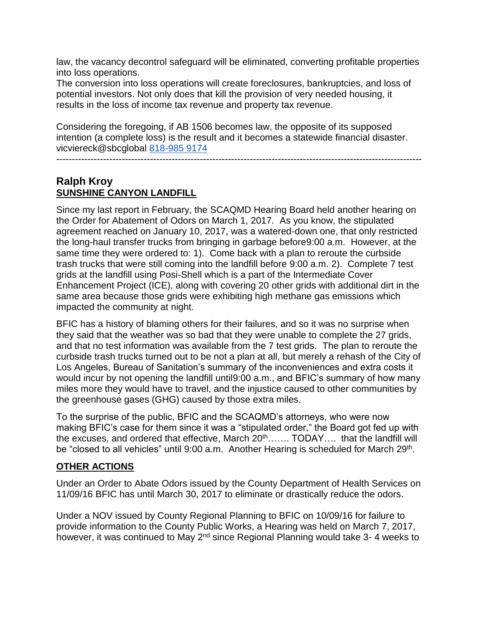law, the vacancy decontrol safeguard will be eliminated, converting profitable properties into loss operations.

The conversion into loss operations will create foreclosures, bankruptcies, and loss of potential investors. Not only does that kill the provision of very needed housing, it results in the loss of income tax revenue and property tax revenue.

Considering the foregoing, if AB 1506 becomes law, the opposite of its supposed intention (a complete loss) is the result and it becomes a statewide financial disaster. vicviereck@sbcglobal [818-985 9174](tel:(818)%20985-9174)

#### $-$

# **Ralph Kroy SUNSHINE CANYON LANDFILL**

Since my last report in February, the SCAQMD Hearing Board held another hearing on the Order for Abatement of Odors on March 1, 2017. As you know, the stipulated agreement reached on January 10, 2017, was a watered-down one, that only restricted the long-haul transfer trucks from bringing in garbage before9:00 a.m. However, at the same time they were ordered to: 1). Come back with a plan to reroute the curbside trash trucks that were still coming into the landfill before 9:00 a.m. 2). Complete 7 test grids at the landfill using Posi-Shell which is a part of the Intermediate Cover Enhancement Project (ICE), along with covering 20 other grids with additional dirt in the same area because those grids were exhibiting high methane gas emissions which impacted the community at night.

BFIC has a history of blaming others for their failures, and so it was no surprise when they said that the weather was so bad that they were unable to complete the 27 grids, and that no test information was available from the 7 test grids. The plan to reroute the curbside trash trucks turned out to be not a plan at all, but merely a rehash of the City of Los Angeles, Bureau of Sanitation's summary of the inconveniences and extra costs it would incur by not opening the landfill until9:00 a.m., and BFIC's summary of how many miles more they would have to travel, and the injustice caused to other communities by the greenhouse gases (GHG) caused by those extra miles.

To the surprise of the public, BFIC and the SCAQMD's attorneys, who were now making BFIC's case for them since it was a "stipulated order," the Board got fed up with the excuses, and ordered that effective, March 20<sup>th</sup>……. TODAY…. that the landfill will be "closed to all vehicles" until 9:00 a.m. Another Hearing is scheduled for March 29<sup>th</sup>.

## **OTHER ACTIONS**

Under an Order to Abate Odors issued by the County Department of Health Services on 11/09/16 BFIC has until March 30, 2017 to eliminate or drastically reduce the odors.

Under a NOV issued by County Regional Planning to BFIC on 10/09/16 for failure to provide information to the County Public Works, a Hearing was held on March 7, 2017, however, it was continued to May  $2^{nd}$  since Regional Planning would take 3-4 weeks to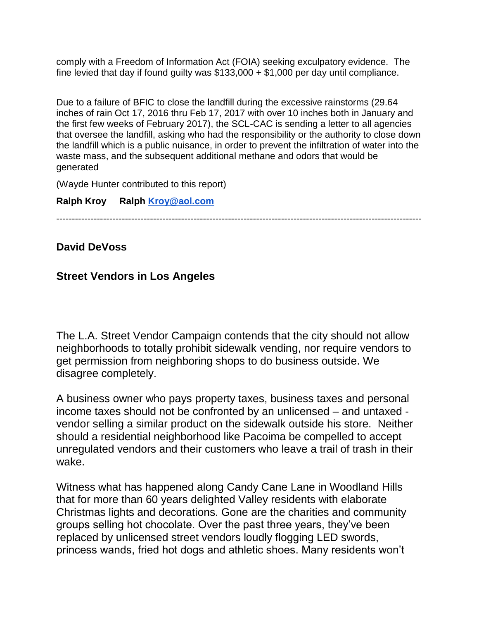comply with a Freedom of Information Act (FOIA) seeking exculpatory evidence. The fine levied that day if found guilty was  $$133,000 + $1,000$  per day until compliance.

Due to a failure of BFIC to close the landfill during the excessive rainstorms (29.64 inches of rain Oct 17, 2016 thru Feb 17, 2017 with over 10 inches both in January and the first few weeks of February 2017), the SCL-CAC is sending a letter to all agencies that oversee the landfill, asking who had the responsibility or the authority to close down the landfill which is a public nuisance, in order to prevent the infiltration of water into the waste mass, and the subsequent additional methane and odors that would be generated

(Wayde Hunter contributed to this report)

## **Ralph Kroy Ralph [Kroy@aol.com](mailto:Kroy@aol.com)**

---------------------------------------------------------------------------------------------------------------------

**David DeVoss**

# **Street Vendors in Los Angeles**

The L.A. Street Vendor Campaign contends that the city should not allow neighborhoods to totally prohibit sidewalk vending, nor require vendors to get permission from neighboring shops to do business outside. We disagree completely.

A business owner who pays property taxes, business taxes and personal income taxes should not be confronted by an unlicensed – and untaxed vendor selling a similar product on the sidewalk outside his store. Neither should a residential neighborhood like Pacoima be compelled to accept unregulated vendors and their customers who leave a trail of trash in their wake.

Witness what has happened along Candy Cane Lane in Woodland Hills that for more than 60 years delighted Valley residents with elaborate Christmas lights and decorations. Gone are the charities and community groups selling hot chocolate. Over the past three years, they've been replaced by unlicensed street vendors loudly flogging LED swords, princess wands, fried hot dogs and athletic shoes. Many residents won't